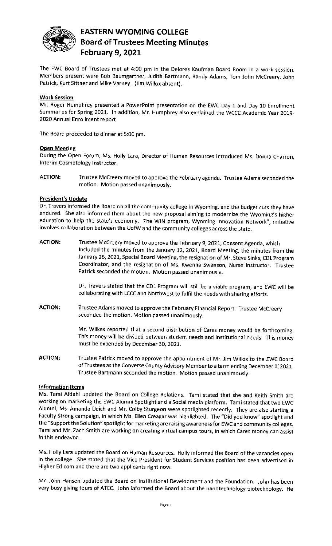

# **EASTERN WYOMING COLLEGE Board of Trustees Meeting Minutes February 9, 2021**

The EWC Board of Trustees met at 4:00 pm in the Delores Kaufman Board Room in a work session. Members present were Bob Baumgartner, Judith Bartmann, Randy Adams, Tom John Mccreery, John Patrick, Kurt Sittner and Mike Varney. (Jim Willox absent).

#### **Work Session**

Mr. Roger Humphrey presented a PowerPoint presentation on the EWC Day 1 and Day 10 Enrollment Summaries for Spring 2021. In addition, Mr. Humphrey also explained the WCCC Academic Year 2019- 2020 Annual Enrollment report

The Board proceeded to dinner at 5:00 pm.

## **Open Meeting**

During the Open Forum, Ms. Holly Lara, Director of Human Resources introduced Ms. Donna Charron, Interim Cosmetology Instructor.

**ACTION:** Trustee Mccreery moved to approve the February agenda. Trustee Adams seconded the motion. Motion passed unanimously.

## **President's Update**

Dr. Travers informed the Board on all the community college in Wyoming, and the budget cuts they have endured. She also informed them about the new proposal aiming to modernize the Wyoming's higher education to help the state's economy. The WIN program, Wyoming Innovation Network", initiative involves collaboration between the UofW and the community colleges across the state.

**ACTION:** Trustee Mccreery moved to approve the February 9, 2021, Consent Agenda, which Included the minutes from the January 12, 2021, Board Meeting, the minutes from the January 26, 2021, Special Board Meeting, the resignation of Mr. Steve Sinks, CDL Program Coordinator, and the resignation of Ms. Kwenna Swanson, Nurse Instructor. Trustee Patrick seconded the motion. Motion passed unanimously.

> Dr. Travers stated that the CDL Program will still be a viable program, and EWC will be collaborating with LCCC and Northwest to fulfil the needs with sharing efforts.

**ACTION:** Trustee Adams moved to approve the February Financial Report. Trustee Mccreery seconded the motion. Motion passed unanimously.

> Mr. Wilkes reported that a second distribution of Cares money would be forthcoming. This money will be divided between student needs and institutional needs. This money must be expended by December 30, 2021.

**ACTION:** Trustee Patrick moved to approve the appointment of Mr. Jim Willox to the EWC Board ofTrustees as the Converse County Advisory Memberto a term ending December 1, 2021. Trustee Bartmann seconded the motion. Motion passed unanimously.

#### **Information Items**

Ms. Tami Afdahl updated the Board on College Relations. Tami stated that she and Keith Smith are working on marketing the EWC Alumni Spotlight and a Social media platform. Tami stated that two EWC Alumni, Ms. Amanda Deich and Mr. Colby Sturgeon were spotlighted recently. They are also starting a Faculty Strong campaign, in which Ms. Ellen Creagar was highlighted. The "Did you know" spotlight and the "Support the Solution" spotlight for marketing are raising awareness for EWC and community colleges. Tami and Mr. Zach Smith are working on creating virtual campus tours, in which Cares money can assist in this endeavor.

Ms. Holly Lara updated the Board on Human Resources. Holly informed the Board of the vacancies open in the college. She stated that the Vice President for Student Services position has been advertised in Higher Ed.com and there are two applicants right now.

Mr. John.Hansen updated the Board on Institutional Development and the Foundation. John has been very busy giving tours of ATEC. John informed the Board about the nanotechnology biotechnology. He